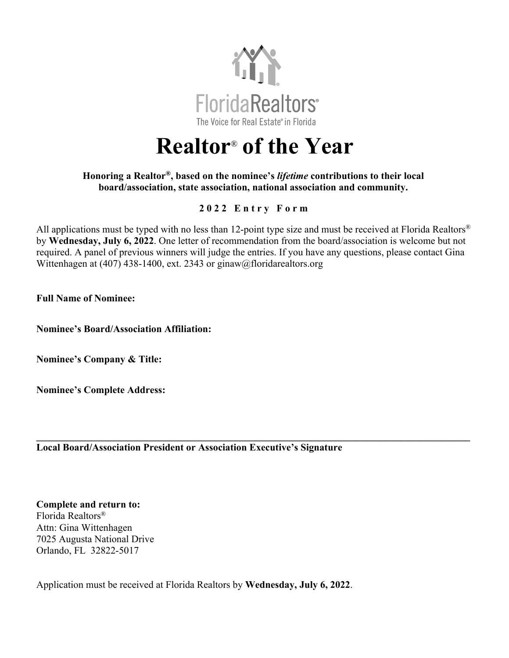

## **Realtor**® **of the Year**

## **Honoring a Realtor®, based on the nominee's** *lifetime* **contributions to their local board/association, state association, national association and community.**

## **202 2 Entry Form**

All applications must be typed with no less than 12-point type size and must be received at Florida Realtors<sup>®</sup> by **Wednesday, July 6, 2022**. One letter of recommendation from the board/association is welcome but not required. A panel of previous winners will judge the entries. If you have any questions, please contact Gina Wittenhagen at (407) 438-1400, ext. 2343 or ginaw@floridarealtors.org

**\_\_\_\_\_\_\_\_\_\_\_\_\_\_\_\_\_\_\_\_\_\_\_\_\_\_\_\_\_\_\_\_\_\_\_\_\_\_\_\_\_\_\_\_\_\_\_\_\_\_\_\_\_\_\_\_\_\_\_\_\_\_\_\_\_\_\_\_\_\_\_\_\_\_\_\_\_\_\_\_\_\_\_\_\_\_\_**

**Full Name of Nominee:** 

**Nominee's Board/Association Affiliation:**

**Nominee's Company & Title:** 

**Nominee's Complete Address:**

**Local Board/Association President or Association Executive's Signature**

**Complete and return to:**  Florida Realtors® Attn: Gina Wittenhagen 7025 Augusta National Drive Orlando, FL 32822-5017

Application must be received at Florida Realtors by **Wednesday, July 6, 2022**.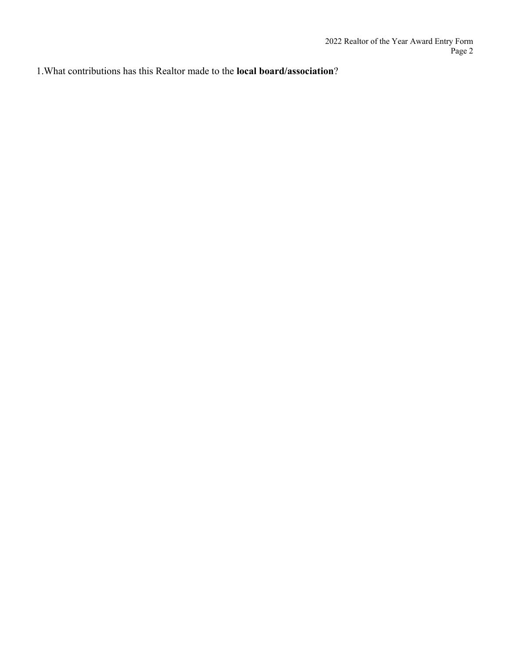1.What contributions has this Realtor made to the **local board/association**?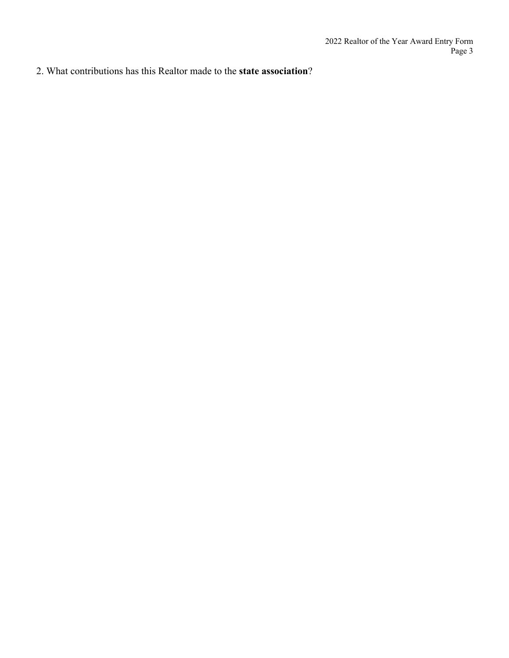2. What contributions has this Realtor made to the **state association**?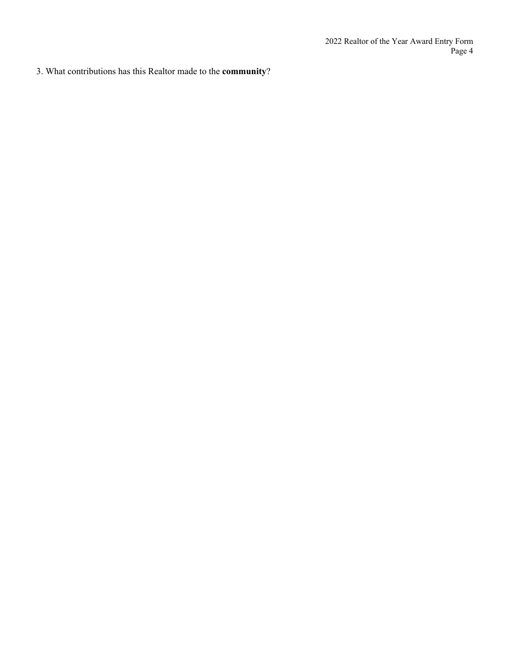3. What contributions has this Realtor made to the **community**?